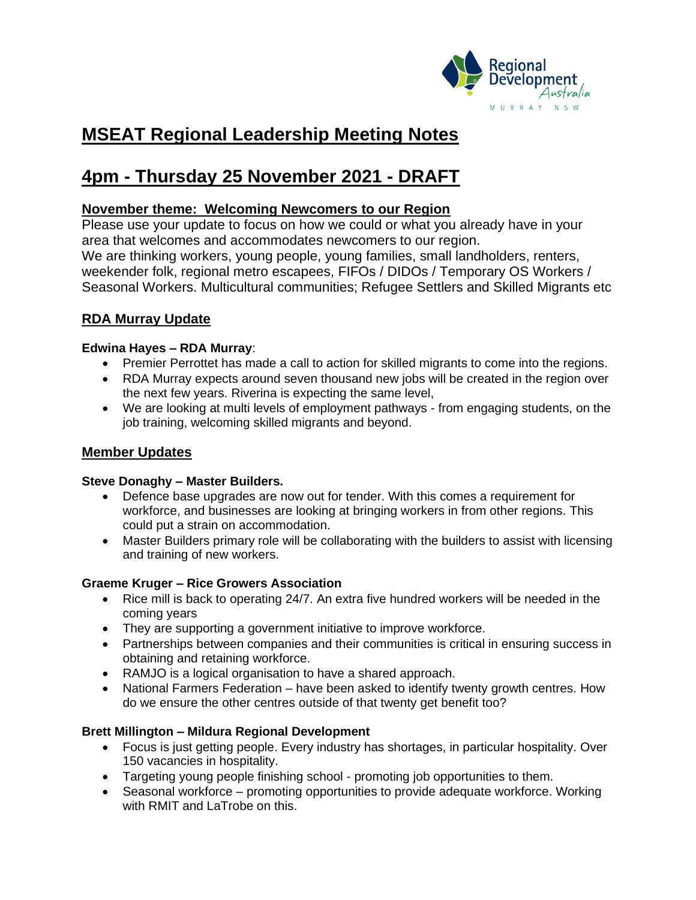

# **MSEAT Regional Leadership Meeting Notes**

# **4pm - Thursday 25 November 2021 - DRAFT**

## **November theme: Welcoming Newcomers to our Region**

Please use your update to focus on how we could or what you already have in your area that welcomes and accommodates newcomers to our region. We are thinking workers, young people, young families, small landholders, renters, weekender folk, regional metro escapees, FIFOs / DIDOs / Temporary OS Workers / Seasonal Workers. Multicultural communities; Refugee Settlers and Skilled Migrants etc

## **RDA Murray Update**

### **Edwina Hayes – RDA Murray**:

- Premier Perrottet has made a call to action for skilled migrants to come into the regions.
- RDA Murray expects around seven thousand new jobs will be created in the region over the next few years. Riverina is expecting the same level,
- We are looking at multi levels of employment pathways from engaging students, on the job training, welcoming skilled migrants and beyond.

## **Member Updates**

### **Steve Donaghy – Master Builders.**

- Defence base upgrades are now out for tender. With this comes a requirement for workforce, and businesses are looking at bringing workers in from other regions. This could put a strain on accommodation.
- Master Builders primary role will be collaborating with the builders to assist with licensing and training of new workers.

## **Graeme Kruger – Rice Growers Association**

- Rice mill is back to operating 24/7. An extra five hundred workers will be needed in the coming years
- They are supporting a government initiative to improve workforce.
- Partnerships between companies and their communities is critical in ensuring success in obtaining and retaining workforce.
- RAMJO is a logical organisation to have a shared approach.
- National Farmers Federation have been asked to identify twenty growth centres. How do we ensure the other centres outside of that twenty get benefit too?

## **Brett Millington – Mildura Regional Development**

- Focus is just getting people. Every industry has shortages, in particular hospitality. Over 150 vacancies in hospitality.
- Targeting young people finishing school promoting job opportunities to them.
- Seasonal workforce promoting opportunities to provide adequate workforce. Working with RMIT and LaTrobe on this.